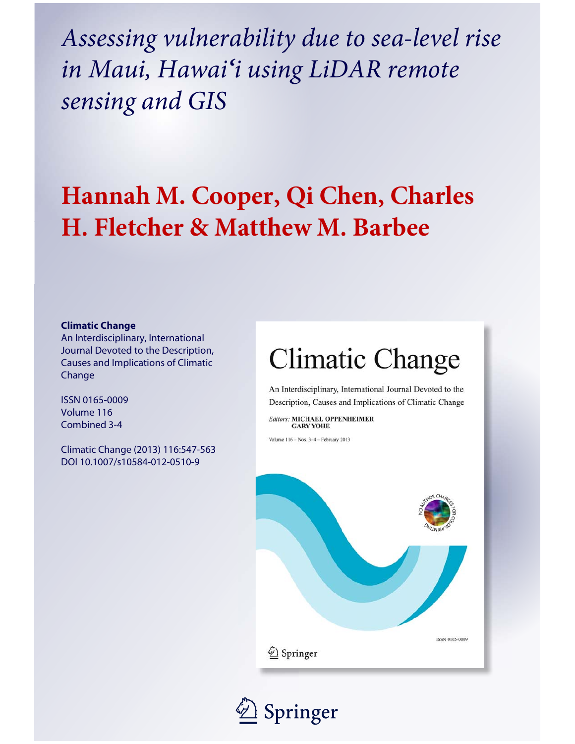Assessing vulnerability due to sea-level rise in Maui, Hawai'i using LiDAR remote sensing and GIS

# Hannah M. Cooper, Qi Chen, Charles H. Fletcher & Matthew M. Barbee

### **Climatic Change**

An Interdisciplinary, International Journal Devoted to the Description, **Causes and Implications of Climatic** Change

ISSN 0165-0009 Volume 116 Combined 3-4

Climatic Change (2013) 116:547-563 DOI 10.1007/s10584-012-0510-9

# **Climatic Change**

An Interdisciplinary, International Journal Devoted to the Description, Causes and Implications of Climatic Change

**Editors: MICHAEL OPPENHEIMER GARY YOHE** 

Volume 116 - Nos. 3-4 - February 2013



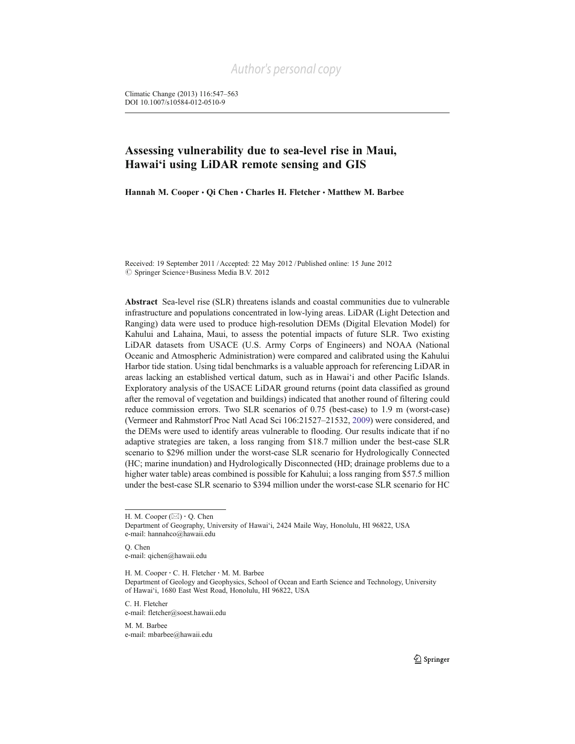*Author's personal copy*

Climatic Change (2013) 116:547–563 DOI 10.1007/s10584-012-0510-9

### Assessing vulnerability due to sea-level rise in Maui, Hawai'i using LiDAR remote sensing and GIS

Hannah M. Cooper • Qi Chen • Charles H. Fletcher • Matthew M. Barbee

Received: 19 September 2011 / Accepted: 22 May 2012 / Published online: 15 June 2012  $\oslash$  Springer Science+Business Media B.V. 2012

Abstract Sea-level rise (SLR) threatens islands and coastal communities due to vulnerable infrastructure and populations concentrated in low-lying areas. LiDAR (Light Detection and Ranging) data were used to produce high-resolution DEMs (Digital Elevation Model) for Kahului and Lahaina, Maui, to assess the potential impacts of future SLR. Two existing LiDAR datasets from USACE (U.S. Army Corps of Engineers) and NOAA (National Oceanic and Atmospheric Administration) were compared and calibrated using the Kahului Harbor tide station. Using tidal benchmarks is a valuable approach for referencing LiDAR in areas lacking an established vertical datum, such as in Hawai'i and other Pacific Islands. Exploratory analysis of the USACE LiDAR ground returns (point data classified as ground after the removal of vegetation and buildings) indicated that another round of filtering could reduce commission errors. Two SLR scenarios of 0.75 (best-case) to 1.9 m (worst-case) (Vermeer and Rahmstorf Proc Natl Acad Sci 106:21527–21532, 2009) were considered, and the DEMs were used to identify areas vulnerable to flooding. Our results indicate that if no adaptive strategies are taken, a loss ranging from \$18.7 million under the best-case SLR scenario to \$296 million under the worst-case SLR scenario for Hydrologically Connected (HC; marine inundation) and Hydrologically Disconnected (HD; drainage problems due to a higher water table) areas combined is possible for Kahului; a loss ranging from \$57.5 million under the best-case SLR scenario to \$394 million under the worst-case SLR scenario for HC

Q. Chen e-mail: qichen@hawaii.edu

C. H. Fletcher e-mail: fletcher@soest.hawaii.edu

M. M. Barbee e-mail: mbarbee@hawaii.edu

H. M. Cooper  $(\boxtimes) \cdot Q$ . Chen Department of Geography, University of Hawai'i, 2424 Maile Way, Honolulu, HI 96822, USA e-mail: hannahco@hawaii.edu

H. M. Cooper · C. H. Fletcher · M. M. Barbee Department of Geology and Geophysics, School of Ocean and Earth Science and Technology, University of Hawai'i, 1680 East West Road, Honolulu, HI 96822, USA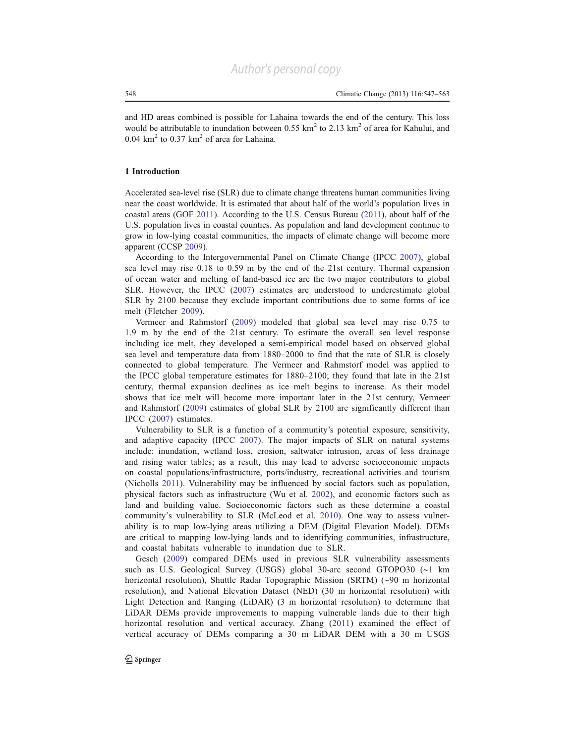and HD areas combined is possible for Lahaina towards the end of the century. This loss would be attributable to inundation between 0.55  $km^2$  to 2.13  $km^2$  of area for Kahului, and  $0.04$  km<sup>2</sup> to  $0.37$  km<sup>2</sup> of area for Lahaina.

#### 1 Introduction

Accelerated sea-level rise (SLR) due to climate change threatens human communities living near the coast worldwide. It is estimated that about half of the world's population lives in coastal areas (GOF 2011). According to the U.S. Census Bureau (2011), about half of the U.S. population lives in coastal counties. As population and land development continue to grow in low-lying coastal communities, the impacts of climate change will become more apparent (CCSP 2009).

According to the Intergovernmental Panel on Climate Change (IPCC 2007), global sea level may rise 0.18 to 0.59 m by the end of the 21st century. Thermal expansion of ocean water and melting of land-based ice are the two major contributors to global SLR. However, the IPCC (2007) estimates are understood to underestimate global SLR by 2100 because they exclude important contributions due to some forms of ice melt (Fletcher 2009).

Vermeer and Rahmstorf (2009) modeled that global sea level may rise 0.75 to 1.9 m by the end of the 21st century. To estimate the overall sea level response including ice melt, they developed a semi-empirical model based on observed global sea level and temperature data from 1880–2000 to find that the rate of SLR is closely connected to global temperature. The Vermeer and Rahmstorf model was applied to the IPCC global temperature estimates for 1880–2100; they found that late in the 21st century, thermal expansion declines as ice melt begins to increase. As their model shows that ice melt will become more important later in the 21st century, Vermeer and Rahmstorf (2009) estimates of global SLR by 2100 are significantly different than IPCC (2007) estimates.

Vulnerability to SLR is a function of a community's potential exposure, sensitivity, and adaptive capacity (IPCC 2007). The major impacts of SLR on natural systems include: inundation, wetland loss, erosion, saltwater intrusion, areas of less drainage and rising water tables; as a result, this may lead to adverse socioeconomic impacts on coastal populations/infrastructure, ports/industry, recreational activities and tourism (Nicholls 2011). Vulnerability may be influenced by social factors such as population, physical factors such as infrastructure (Wu et al. 2002), and economic factors such as land and building value. Socioeconomic factors such as these determine a coastal community's vulnerability to SLR (McLeod et al. 2010). One way to assess vulnerability is to map low-lying areas utilizing a DEM (Digital Elevation Model). DEMs are critical to mapping low-lying lands and to identifying communities, infrastructure, and coastal habitats vulnerable to inundation due to SLR.

Gesch (2009) compared DEMs used in previous SLR vulnerability assessments such as U.S. Geological Survey (USGS) global 30-arc second GTOPO30 (∼1 km horizontal resolution), Shuttle Radar Topographic Mission (SRTM) (∼90 m horizontal resolution), and National Elevation Dataset (NED) (30 m horizontal resolution) with Light Detection and Ranging (LiDAR) (3 m horizontal resolution) to determine that LiDAR DEMs provide improvements to mapping vulnerable lands due to their high horizontal resolution and vertical accuracy. Zhang (2011) examined the effect of vertical accuracy of DEMs comparing a 30 m LiDAR DEM with a 30 m USGS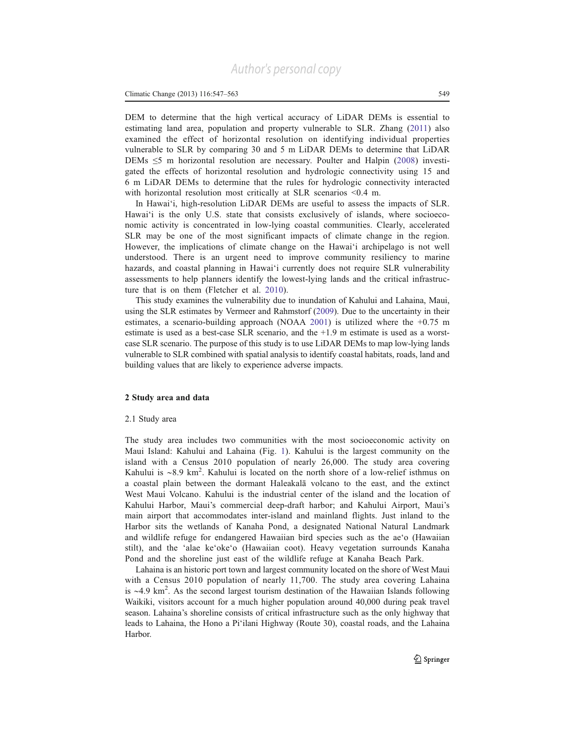#### Climatic Change (2013) 116:547–563 549

DEM to determine that the high vertical accuracy of LiDAR DEMs is essential to estimating land area, population and property vulnerable to SLR. Zhang (2011) also examined the effect of horizontal resolution on identifying individual properties vulnerable to SLR by comparing 30 and 5 m LiDAR DEMs to determine that LiDAR DEMs  $\leq$ 5 m horizontal resolution are necessary. Poulter and Halpin (2008) investigated the effects of horizontal resolution and hydrologic connectivity using 15 and 6 m LiDAR DEMs to determine that the rules for hydrologic connectivity interacted with horizontal resolution most critically at SLR scenarios <0.4 m.

In Hawai'i, high-resolution LiDAR DEMs are useful to assess the impacts of SLR. Hawai'i is the only U.S. state that consists exclusively of islands, where socioeconomic activity is concentrated in low-lying coastal communities. Clearly, accelerated SLR may be one of the most significant impacts of climate change in the region. However, the implications of climate change on the Hawai'i archipelago is not well understood. There is an urgent need to improve community resiliency to marine hazards, and coastal planning in Hawai'i currently does not require SLR vulnerability assessments to help planners identify the lowest-lying lands and the critical infrastructure that is on them (Fletcher et al. 2010).

This study examines the vulnerability due to inundation of Kahului and Lahaina, Maui, using the SLR estimates by Vermeer and Rahmstorf (2009). Due to the uncertainty in their estimates, a scenario-building approach (NOAA 2001) is utilized where the  $+0.75$  m estimate is used as a best-case SLR scenario, and the +1.9 m estimate is used as a worstcase SLR scenario. The purpose of this study is to use LiDAR DEMs to map low-lying lands vulnerable to SLR combined with spatial analysis to identify coastal habitats, roads, land and building values that are likely to experience adverse impacts.

#### 2 Study area and data

#### 2.1 Study area

The study area includes two communities with the most socioeconomic activity on Maui Island: Kahului and Lahaina (Fig. 1). Kahului is the largest community on the island with a Census 2010 population of nearly 26,000. The study area covering Kahului is ∼8.9 km<sup>2</sup> . Kahului is located on the north shore of a low-relief isthmus on a coastal plain between the dormant Haleakalā volcano to the east, and the extinct West Maui Volcano. Kahului is the industrial center of the island and the location of Kahului Harbor, Maui's commercial deep-draft harbor; and Kahului Airport, Maui's main airport that accommodates inter-island and mainland flights. Just inland to the Harbor sits the wetlands of Kanaha Pond, a designated National Natural Landmark and wildlife refuge for endangered Hawaiian bird species such as the ae'o (Hawaiian stilt), and the 'alae ke'oke'o (Hawaiian coot). Heavy vegetation surrounds Kanaha Pond and the shoreline just east of the wildlife refuge at Kanaha Beach Park.

Lahaina is an historic port town and largest community located on the shore of West Maui with a Census 2010 population of nearly 11,700. The study area covering Lahaina is ∼4.9 km<sup>2</sup> . As the second largest tourism destination of the Hawaiian Islands following Waikiki, visitors account for a much higher population around 40,000 during peak travel season. Lahaina's shoreline consists of critical infrastructure such as the only highway that leads to Lahaina, the Hono a Pi'ilani Highway (Route 30), coastal roads, and the Lahaina Harbor.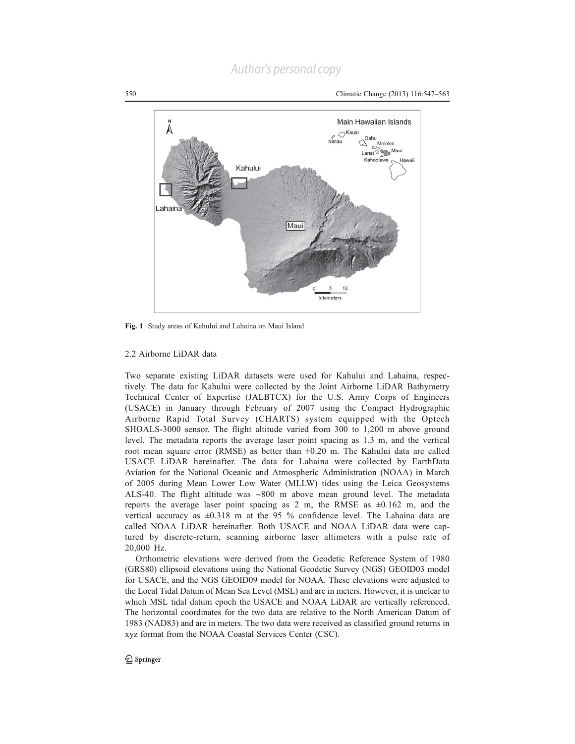

Fig. 1 Study areas of Kahului and Lahaina on Maui Island

#### 2.2 Airborne LiDAR data

Two separate existing LiDAR datasets were used for Kahului and Lahaina, respectively. The data for Kahului were collected by the Joint Airborne LiDAR Bathymetry Technical Center of Expertise (JALBTCX) for the U.S. Army Corps of Engineers (USACE) in January through February of 2007 using the Compact Hydrographic Airborne Rapid Total Survey (CHARTS) system equipped with the Optech SHOALS-3000 sensor. The flight altitude varied from 300 to 1,200 m above ground level. The metadata reports the average laser point spacing as 1.3 m, and the vertical root mean square error (RMSE) as better than  $\pm 0.20$  m. The Kahului data are called USACE LiDAR hereinafter. The data for Lahaina were collected by EarthData Aviation for the National Oceanic and Atmospheric Administration (NOAA) in March of 2005 during Mean Lower Low Water (MLLW) tides using the Leica Geosystems ALS-40. The flight altitude was ∼800 m above mean ground level. The metadata reports the average laser point spacing as 2 m, the RMSE as ±0.162 m, and the vertical accuracy as ±0.318 m at the 95 % confidence level. The Lahaina data are called NOAA LiDAR hereinafter. Both USACE and NOAA LiDAR data were captured by discrete-return, scanning airborne laser altimeters with a pulse rate of 20,000 Hz.

Orthometric elevations were derived from the Geodetic Reference System of 1980 (GRS80) ellipsoid elevations using the National Geodetic Survey (NGS) GEOID03 model for USACE, and the NGS GEOID09 model for NOAA. These elevations were adjusted to the Local Tidal Datum of Mean Sea Level (MSL) and are in meters. However, it is unclear to which MSL tidal datum epoch the USACE and NOAA LiDAR are vertically referenced. The horizontal coordinates for the two data are relative to the North American Datum of 1983 (NAD83) and are in meters. The two data were received as classified ground returns in xyz format from the NOAA Coastal Services Center (CSC).

550 Climatic Change (2013) 116:547–563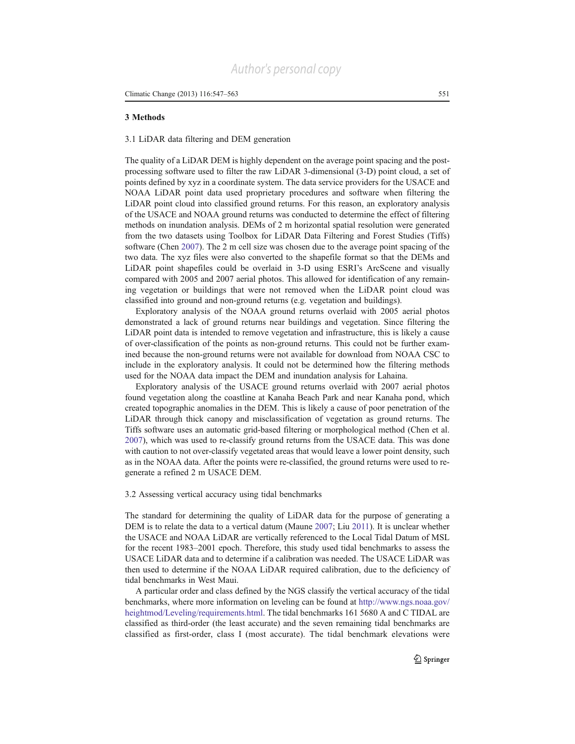#### 3 Methods

#### 3.1 LiDAR data filtering and DEM generation

The quality of a LiDAR DEM is highly dependent on the average point spacing and the postprocessing software used to filter the raw LiDAR 3-dimensional (3-D) point cloud, a set of points defined by xyz in a coordinate system. The data service providers for the USACE and NOAA LiDAR point data used proprietary procedures and software when filtering the LiDAR point cloud into classified ground returns. For this reason, an exploratory analysis of the USACE and NOAA ground returns was conducted to determine the effect of filtering methods on inundation analysis. DEMs of 2 m horizontal spatial resolution were generated from the two datasets using Toolbox for LiDAR Data Filtering and Forest Studies (Tiffs) software (Chen 2007). The 2 m cell size was chosen due to the average point spacing of the two data. The xyz files were also converted to the shapefile format so that the DEMs and LiDAR point shapefiles could be overlaid in 3-D using ESRI's ArcScene and visually compared with 2005 and 2007 aerial photos. This allowed for identification of any remaining vegetation or buildings that were not removed when the LiDAR point cloud was classified into ground and non-ground returns (e.g. vegetation and buildings).

Exploratory analysis of the NOAA ground returns overlaid with 2005 aerial photos demonstrated a lack of ground returns near buildings and vegetation. Since filtering the LiDAR point data is intended to remove vegetation and infrastructure, this is likely a cause of over-classification of the points as non-ground returns. This could not be further examined because the non-ground returns were not available for download from NOAA CSC to include in the exploratory analysis. It could not be determined how the filtering methods used for the NOAA data impact the DEM and inundation analysis for Lahaina.

Exploratory analysis of the USACE ground returns overlaid with 2007 aerial photos found vegetation along the coastline at Kanaha Beach Park and near Kanaha pond, which created topographic anomalies in the DEM. This is likely a cause of poor penetration of the LiDAR through thick canopy and misclassification of vegetation as ground returns. The Tiffs software uses an automatic grid-based filtering or morphological method (Chen et al. 2007), which was used to re-classify ground returns from the USACE data. This was done with caution to not over-classify vegetated areas that would leave a lower point density, such as in the NOAA data. After the points were re-classified, the ground returns were used to regenerate a refined 2 m USACE DEM.

#### 3.2 Assessing vertical accuracy using tidal benchmarks

The standard for determining the quality of LiDAR data for the purpose of generating a DEM is to relate the data to a vertical datum (Maune 2007; Liu 2011). It is unclear whether the USACE and NOAA LiDAR are vertically referenced to the Local Tidal Datum of MSL for the recent 1983–2001 epoch. Therefore, this study used tidal benchmarks to assess the USACE LiDAR data and to determine if a calibration was needed. The USACE LiDAR was then used to determine if the NOAA LiDAR required calibration, due to the deficiency of tidal benchmarks in West Maui.

A particular order and class defined by the NGS classify the vertical accuracy of the tidal benchmarks, where more information on leveling can be found at http://www.ngs.noaa.gov/ heightmod/Leveling/requirements.html. The tidal benchmarks 161 5680 A and C TIDAL are classified as third-order (the least accurate) and the seven remaining tidal benchmarks are classified as first-order, class I (most accurate). The tidal benchmark elevations were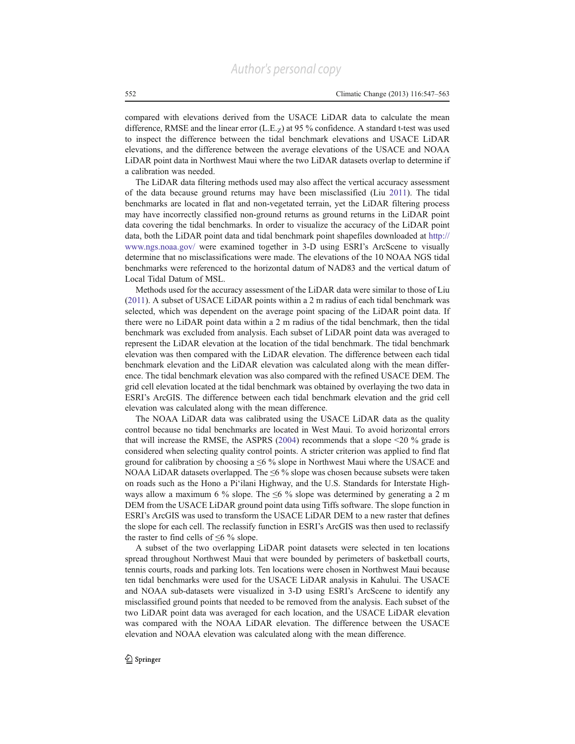compared with elevations derived from the USACE LiDAR data to calculate the mean difference, RMSE and the linear error  $(L.E.7)$  at 95 % confidence. A standard t-test was used to inspect the difference between the tidal benchmark elevations and USACE LiDAR elevations, and the difference between the average elevations of the USACE and NOAA LiDAR point data in Northwest Maui where the two LiDAR datasets overlap to determine if a calibration was needed.

The LiDAR data filtering methods used may also affect the vertical accuracy assessment of the data because ground returns may have been misclassified (Liu 2011). The tidal benchmarks are located in flat and non-vegetated terrain, yet the LiDAR filtering process may have incorrectly classified non-ground returns as ground returns in the LiDAR point data covering the tidal benchmarks. In order to visualize the accuracy of the LiDAR point data, both the LiDAR point data and tidal benchmark point shapefiles downloaded at http:// www.ngs.noaa.gov/ were examined together in 3-D using ESRI's ArcScene to visually determine that no misclassifications were made. The elevations of the 10 NOAA NGS tidal benchmarks were referenced to the horizontal datum of NAD83 and the vertical datum of Local Tidal Datum of MSL.

Methods used for the accuracy assessment of the LiDAR data were similar to those of Liu (2011). A subset of USACE LiDAR points within a 2 m radius of each tidal benchmark was selected, which was dependent on the average point spacing of the LiDAR point data. If there were no LiDAR point data within a 2 m radius of the tidal benchmark, then the tidal benchmark was excluded from analysis. Each subset of LiDAR point data was averaged to represent the LiDAR elevation at the location of the tidal benchmark. The tidal benchmark elevation was then compared with the LiDAR elevation. The difference between each tidal benchmark elevation and the LiDAR elevation was calculated along with the mean difference. The tidal benchmark elevation was also compared with the refined USACE DEM. The grid cell elevation located at the tidal benchmark was obtained by overlaying the two data in ESRI's ArcGIS. The difference between each tidal benchmark elevation and the grid cell elevation was calculated along with the mean difference.

The NOAA LiDAR data was calibrated using the USACE LiDAR data as the quality control because no tidal benchmarks are located in West Maui. To avoid horizontal errors that will increase the RMSE, the ASPRS (2004) recommends that a slope  $\leq$ 20 % grade is considered when selecting quality control points. A stricter criterion was applied to find flat ground for calibration by choosing a  $\leq 6$  % slope in Northwest Maui where the USACE and NOAA LiDAR datasets overlapped. The  $\leq 6$  % slope was chosen because subsets were taken on roads such as the Hono a Pi'ilani Highway, and the U.S. Standards for Interstate Highways allow a maximum 6 % slope. The ≤6 % slope was determined by generating a 2 m DEM from the USACE LiDAR ground point data using Tiffs software. The slope function in ESRI's ArcGIS was used to transform the USACE LiDAR DEM to a new raster that defines the slope for each cell. The reclassify function in ESRI's ArcGIS was then used to reclassify the raster to find cells of  $\leq 6 \%$  slope.

A subset of the two overlapping LiDAR point datasets were selected in ten locations spread throughout Northwest Maui that were bounded by perimeters of basketball courts, tennis courts, roads and parking lots. Ten locations were chosen in Northwest Maui because ten tidal benchmarks were used for the USACE LiDAR analysis in Kahului. The USACE and NOAA sub-datasets were visualized in 3-D using ESRI's ArcScene to identify any misclassified ground points that needed to be removed from the analysis. Each subset of the two LiDAR point data was averaged for each location, and the USACE LiDAR elevation was compared with the NOAA LiDAR elevation. The difference between the USACE elevation and NOAA elevation was calculated along with the mean difference.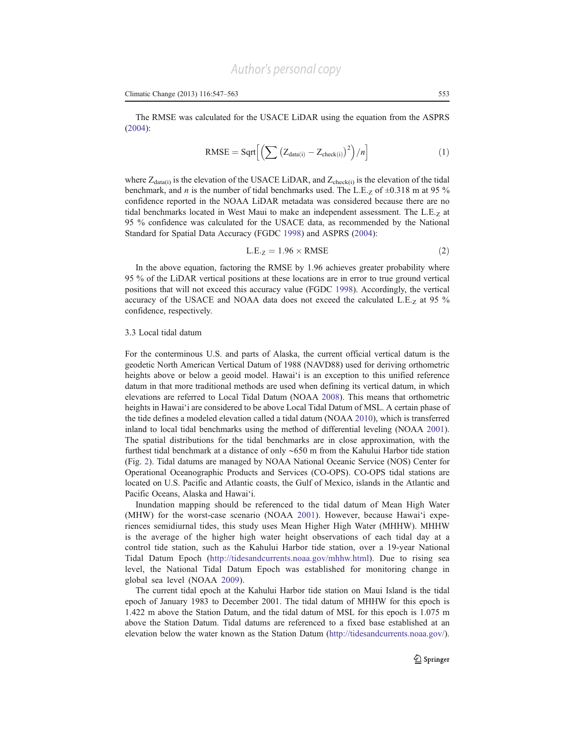The RMSE was calculated for the USACE LiDAR using the equation from the ASPRS (2004):

$$
RMSE = Sqrt\left[\left(\sum (Z_{data(i)} - Z_{check(i)})^2\right)/n\right]
$$
 (1)

where  $Z_{data(i)}$  is the elevation of the USACE LiDAR, and  $Z_{check(i)}$  is the elevation of the tidal benchmark, and *n* is the number of tidal benchmarks used. The L.E.<sub>Z</sub> of  $\pm$ 0.318 m at 95 % confidence reported in the NOAA LiDAR metadata was considered because there are no tidal benchmarks located in West Maui to make an independent assessment. The  $L.E._{Z}$  at 95 % confidence was calculated for the USACE data, as recommended by the National Standard for Spatial Data Accuracy (FGDC 1998) and ASPRS (2004):

$$
L.E._{Z} = 1.96 \times RMSE
$$
 (2)

In the above equation, factoring the RMSE by 1.96 achieves greater probability where 95 % of the LiDAR vertical positions at these locations are in error to true ground vertical positions that will not exceed this accuracy value (FGDC 1998). Accordingly, the vertical accuracy of the USACE and NOAA data does not exceed the calculated L.E.<sub>Z</sub> at 95 % confidence, respectively.

#### 3.3 Local tidal datum

For the conterminous U.S. and parts of Alaska, the current official vertical datum is the geodetic North American Vertical Datum of 1988 (NAVD88) used for deriving orthometric heights above or below a geoid model. Hawai'i is an exception to this unified reference datum in that more traditional methods are used when defining its vertical datum, in which elevations are referred to Local Tidal Datum (NOAA 2008). This means that orthometric heights in Hawai'i are considered to be above Local Tidal Datum of MSL. A certain phase of the tide defines a modeled elevation called a tidal datum (NOAA 2010), which is transferred inland to local tidal benchmarks using the method of differential leveling (NOAA 2001). The spatial distributions for the tidal benchmarks are in close approximation, with the furthest tidal benchmark at a distance of only ∼650 m from the Kahului Harbor tide station (Fig. 2). Tidal datums are managed by NOAA National Oceanic Service (NOS) Center for Operational Oceanographic Products and Services (CO-OPS). CO-OPS tidal stations are located on U.S. Pacific and Atlantic coasts, the Gulf of Mexico, islands in the Atlantic and Pacific Oceans, Alaska and Hawai'i.

Inundation mapping should be referenced to the tidal datum of Mean High Water (MHW) for the worst-case scenario (NOAA 2001). However, because Hawai'i experiences semidiurnal tides, this study uses Mean Higher High Water (MHHW). MHHW is the average of the higher high water height observations of each tidal day at a control tide station, such as the Kahului Harbor tide station, over a 19-year National Tidal Datum Epoch (http://tidesandcurrents.noaa.gov/mhhw.html). Due to rising sea level, the National Tidal Datum Epoch was established for monitoring change in global sea level (NOAA 2009).

The current tidal epoch at the Kahului Harbor tide station on Maui Island is the tidal epoch of January 1983 to December 2001. The tidal datum of MHHW for this epoch is 1.422 m above the Station Datum, and the tidal datum of MSL for this epoch is 1.075 m above the Station Datum. Tidal datums are referenced to a fixed base established at an elevation below the water known as the Station Datum (http://tidesandcurrents.noaa.gov/).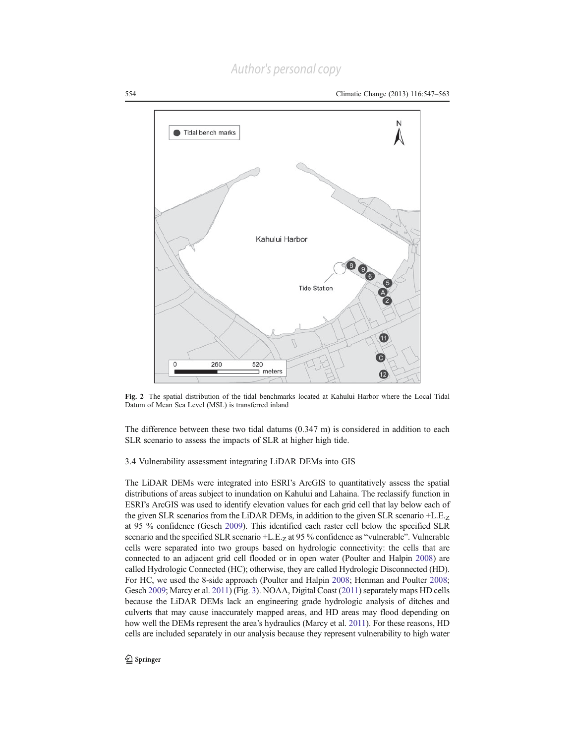

Fig. 2 The spatial distribution of the tidal benchmarks located at Kahului Harbor where the Local Tidal Datum of Mean Sea Level (MSL) is transferred inland

The difference between these two tidal datums (0.347 m) is considered in addition to each SLR scenario to assess the impacts of SLR at higher high tide.

3.4 Vulnerability assessment integrating LiDAR DEMs into GIS

The LiDAR DEMs were integrated into ESRI's ArcGIS to quantitatively assess the spatial distributions of areas subject to inundation on Kahului and Lahaina. The reclassify function in ESRI's ArcGIS was used to identify elevation values for each grid cell that lay below each of the given SLR scenarios from the LiDAR DEMs, in addition to the given SLR scenario +L.E.<sub>Z</sub> at 95 % confidence (Gesch 2009). This identified each raster cell below the specified SLR scenario and the specified SLR scenario +L.E.<sub>Z</sub> at 95 % confidence as "vulnerable". Vulnerable cells were separated into two groups based on hydrologic connectivity: the cells that are connected to an adjacent grid cell flooded or in open water (Poulter and Halpin 2008) are called Hydrologic Connected (HC); otherwise, they are called Hydrologic Disconnected (HD). For HC, we used the 8-side approach (Poulter and Halpin 2008; Henman and Poulter 2008; Gesch 2009; Marcy et al. 2011) (Fig. 3). NOAA, Digital Coast (2011) separately maps HD cells because the LiDAR DEMs lack an engineering grade hydrologic analysis of ditches and culverts that may cause inaccurately mapped areas, and HD areas may flood depending on how well the DEMs represent the area's hydraulics (Marcy et al. 2011). For these reasons, HD cells are included separately in our analysis because they represent vulnerability to high water

**◯** Springer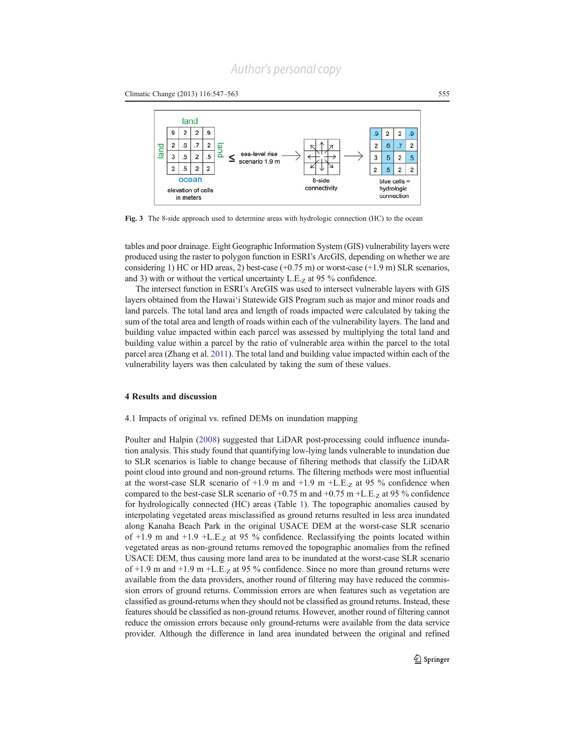## *Author's personal copy*

Climatic Change (2013) 116:547–563 555



Fig. 3 The 8-side approach used to determine areas with hydrologic connection (HC) to the ocean

tables and poor drainage. Eight Geographic Information System (GIS) vulnerability layers were produced using the raster to polygon function in ESRI's ArcGIS, depending on whether we are considering 1) HC or HD areas, 2) best-case  $(+0.75 \text{ m})$  or worst-case  $(+1.9 \text{ m})$  SLR scenarios, and 3) with or without the vertical uncertainty L.E.<sub>Z</sub> at 95  $\%$  confidence.

The intersect function in ESRI's ArcGIS was used to intersect vulnerable layers with GIS layers obtained from the Hawai'i Statewide GIS Program such as major and minor roads and land parcels. The total land area and length of roads impacted were calculated by taking the sum of the total area and length of roads within each of the vulnerability layers. The land and building value impacted within each parcel was assessed by multiplying the total land and building value within a parcel by the ratio of vulnerable area within the parcel to the total parcel area (Zhang et al. 2011). The total land and building value impacted within each of the vulnerability layers was then calculated by taking the sum of these values.

#### 4 Results and discussion

#### 4.1 Impacts of original vs. refined DEMs on inundation mapping

Poulter and Halpin (2008) suggested that LiDAR post-processing could influence inundation analysis. This study found that quantifying low-lying lands vulnerable to inundation due to SLR scenarios is liable to change because of filtering methods that classify the LiDAR point cloud into ground and non-ground returns. The filtering methods were most influential at the worst-case SLR scenario of  $+1.9$  m and  $+1.9$  m  $+L.E.$  at 95 % confidence when compared to the best-case SLR scenario of +0.75 m and +0.75 m +L.E.<sub>Z</sub> at 95 % confidence for hydrologically connected (HC) areas (Table 1). The topographic anomalies caused by interpolating vegetated areas misclassified as ground returns resulted in less area inundated along Kanaha Beach Park in the original USACE DEM at the worst-case SLR scenario of  $+1.9$  m and  $+1.9$   $+$ L.E.<sub>Z</sub> at 95 % confidence. Reclassifying the points located within vegetated areas as non-ground returns removed the topographic anomalies from the refined USACE DEM, thus causing more land area to be inundated at the worst-case SLR scenario of  $+1.9$  m and  $+1.9$  m  $+$ L.E.<sub>Z</sub> at 95 % confidence. Since no more than ground returns were available from the data providers, another round of filtering may have reduced the commission errors of ground returns. Commission errors are when features such as vegetation are classified as ground-returns when they should not be classified as ground returns. Instead, these features should be classified as non-ground returns. However, another round of filtering cannot reduce the omission errors because only ground-returns were available from the data service provider. Although the difference in land area inundated between the original and refined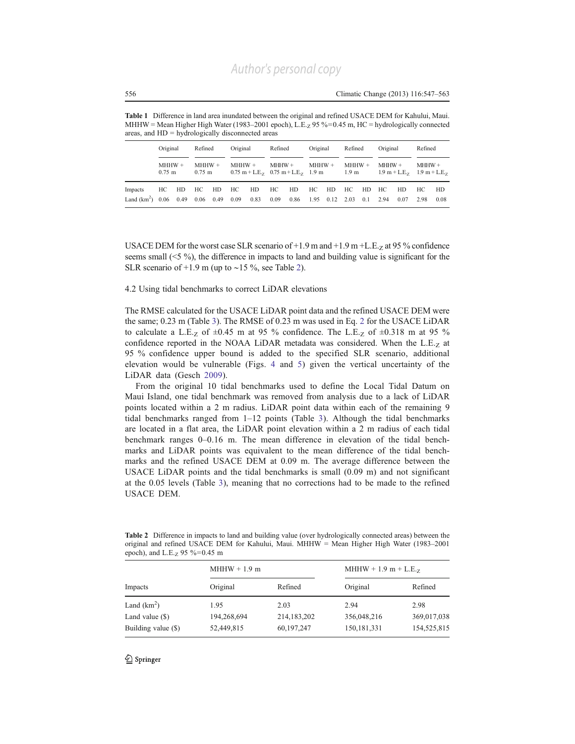Table 1 Difference in land area inundated between the original and refined USACE DEM for Kahului, Maui. MHHW = Mean Higher High Water (1983–2001 epoch), L.E.<sub>Z</sub> 95 %=0.45 m, HC = hydrologically connected areas, and  $HD = hydrologically$  disconnected areas

|                                    | Original<br>$MHHW +$<br>$0.75 \; \mathrm{m}$ |    | Refined              |            | Original    |            | Refined                                                                                                 |            | Original |                        | Refined                      |           | Original                                    |            | Refined     |             |
|------------------------------------|----------------------------------------------|----|----------------------|------------|-------------|------------|---------------------------------------------------------------------------------------------------------|------------|----------|------------------------|------------------------------|-----------|---------------------------------------------|------------|-------------|-------------|
|                                    |                                              |    | $MHHW +$<br>$0.75$ m |            | $MHHW +$    |            | $MHHW +$<br>$0.75 \text{ m} + \text{L} \text{E}$ . $75 \text{ m} + \text{L} \text{E}$ . $1.9 \text{ m}$ |            | $MHHW +$ |                        | $MHHW +$<br>1.9 <sub>m</sub> |           | $MHHW +$<br>$1.9 m + L.E.7$ $1.9 m + L.E.7$ |            | $MHHW +$    |             |
| Impacts<br>Land $(km^2)$ 0.06 0.49 | HC                                           | HD | HC<br>0.06           | HD<br>0.49 | HC.<br>0.09 | HD<br>0.83 | НС<br>0.09                                                                                              | HD<br>0.86 | HC.      | - HD<br>1.95 0.12 2.03 | HC                           | HD<br>0.1 | HC.<br>2.94                                 | HD<br>0.07 | HC.<br>2.98 | HD.<br>0.08 |

USACE DEM for the worst case SLR scenario of  $+1.9$  m and  $+1.9$  m  $+$ L.E.<sub>Z</sub> at 95 % confidence seems small (<5 %), the difference in impacts to land and building value is significant for the SLR scenario of +1.9 m (up to ~15 %, see Table 2).

4.2 Using tidal benchmarks to correct LiDAR elevations

The RMSE calculated for the USACE LiDAR point data and the refined USACE DEM were the same; 0.23 m (Table 3). The RMSE of 0.23 m was used in Eq. 2 for the USACE LiDAR to calculate a L.E.<sub>Z</sub> of  $\pm 0.45$  m at 95 % confidence. The L.E.<sub>Z</sub> of  $\pm 0.318$  m at 95 % confidence reported in the NOAA LiDAR metadata was considered. When the L.E.<sub>Z</sub> at 95 % confidence upper bound is added to the specified SLR scenario, additional elevation would be vulnerable (Figs. 4 and 5) given the vertical uncertainty of the LiDAR data (Gesch 2009).

From the original 10 tidal benchmarks used to define the Local Tidal Datum on Maui Island, one tidal benchmark was removed from analysis due to a lack of LiDAR points located within a 2 m radius. LiDAR point data within each of the remaining 9 tidal benchmarks ranged from  $1-12$  points (Table 3). Although the tidal benchmarks are located in a flat area, the LiDAR point elevation within a 2 m radius of each tidal benchmark ranges 0–0.16 m. The mean difference in elevation of the tidal benchmarks and LiDAR points was equivalent to the mean difference of the tidal benchmarks and the refined USACE DEM at 0.09 m. The average difference between the USACE LiDAR points and the tidal benchmarks is small (0.09 m) and not significant at the 0.05 levels (Table 3), meaning that no corrections had to be made to the refined USACE DEM.

Table 2 Difference in impacts to land and building value (over hydrologically connected areas) between the original and refined USACE DEM for Kahului, Maui. MHHW = Mean Higher High Water (1983–2001 epoch), and L.E.<sub>Z</sub> 95 %=0.45 m

|                     | $MHHW + 1.9 m$ |               | MHHW + 1.9 m + L.E. <sub>z</sub> |             |  |
|---------------------|----------------|---------------|----------------------------------|-------------|--|
| Impacts             | Original       | Refined       | Original                         | Refined     |  |
| Land $(km2)$        | 1.95           | 2.03          | 2.94                             | 2.98        |  |
| Land value $(\$)$   | 194,268,694    | 214, 183, 202 | 356,048,216                      | 369,017,038 |  |
| Building value (\$) | 52,449,815     | 60,197,247    | 150, 181, 331                    | 154,525,815 |  |

 $\mathcal{Q}$  Springer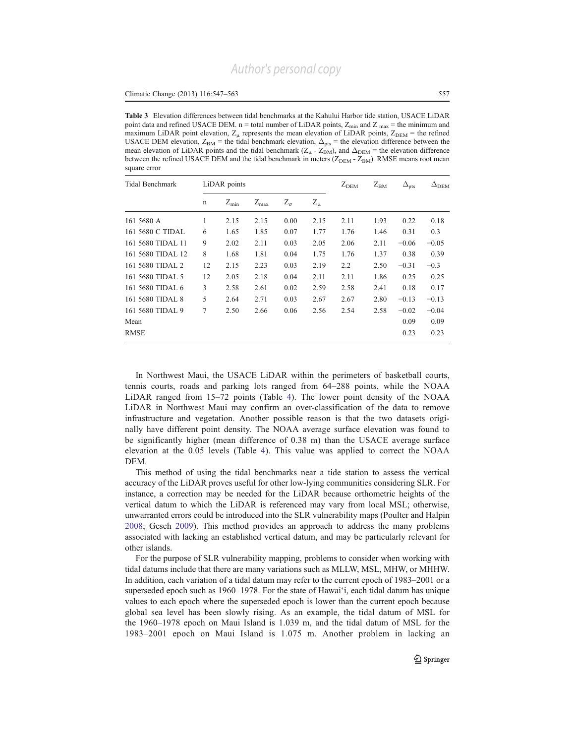Table 3 Elevation differences between tidal benchmarks at the Kahului Harbor tide station, USACE LiDAR point data and refined USACE DEM. n = total number of LiDAR points,  $Z_{min}$  and  $Z_{max}$  = the minimum and maximum LiDAR point elevation,  $Z_{\mu}$  represents the mean elevation of LiDAR points,  $Z_{\text{DEM}}$  = the refined USACE DEM elevation,  $Z_{BM}$  = the tidal benchmark elevation,  $\Delta_{pts}$  = the elevation difference between the mean elevation of LiDAR points and the tidal benchmark ( $Z_{\mu}$  -  $Z_{BM}$ ), and  $\Delta_{DEM}$  = the elevation difference between the refined USACE DEM and the tidal benchmark in meters (Z<sub>DEM</sub> - Z<sub>BM</sub>). RMSE means root mean square error

| Tidal Benchmark   |             | LiDAR points  |                  |              |           | $Z_{DEM}$ | $Z_{BM}$ | $\Delta_{\rm pts}$ | $\Delta_{\rm DEM}$ |
|-------------------|-------------|---------------|------------------|--------------|-----------|-----------|----------|--------------------|--------------------|
|                   | $\mathbf n$ | $Z_{\rm min}$ | $Z_{\text{max}}$ | $Z_{\sigma}$ | $Z_{\mu}$ |           |          |                    |                    |
| 161 5680 A        | 1           | 2.15          | 2.15             | 0.00         | 2.15      | 2.11      | 1.93     | 0.22               | 0.18               |
| 161 5680 C TIDAL  | 6           | 1.65          | 1.85             | 0.07         | 1.77      | 1.76      | 1.46     | 0.31               | 0.3                |
| 161 5680 TIDAL 11 | 9           | 2.02          | 2.11             | 0.03         | 2.05      | 2.06      | 2.11     | $-0.06$            | $-0.05$            |
| 161 5680 TIDAL 12 | 8           | 1.68          | 1.81             | 0.04         | 1.75      | 1.76      | 1.37     | 0.38               | 0.39               |
| 161 5680 TIDAL 2  | 12          | 2.15          | 2.23             | 0.03         | 2.19      | 2.2       | 2.50     | $-0.31$            | $-0.3$             |
| 161 5680 TIDAL 5  | 12          | 2.05          | 2.18             | 0.04         | 2.11      | 2.11      | 1.86     | 0.25               | 0.25               |
| 161 5680 TIDAL 6  | 3           | 2.58          | 2.61             | 0.02         | 2.59      | 2.58      | 2.41     | 0.18               | 0.17               |
| 161 5680 TIDAL 8  | 5           | 2.64          | 2.71             | 0.03         | 2.67      | 2.67      | 2.80     | $-0.13$            | $-0.13$            |
| 161 5680 TIDAL 9  | 7           | 2.50          | 2.66             | 0.06         | 2.56      | 2.54      | 2.58     | $-0.02$            | $-0.04$            |
| Mean              |             |               |                  |              |           |           |          | 0.09               | 0.09               |
| <b>RMSE</b>       |             |               |                  |              |           |           |          | 0.23               | 0.23               |

In Northwest Maui, the USACE LiDAR within the perimeters of basketball courts, tennis courts, roads and parking lots ranged from 64–288 points, while the NOAA LiDAR ranged from 15–72 points (Table 4). The lower point density of the NOAA LiDAR in Northwest Maui may confirm an over-classification of the data to remove infrastructure and vegetation. Another possible reason is that the two datasets originally have different point density. The NOAA average surface elevation was found to be significantly higher (mean difference of 0.38 m) than the USACE average surface elevation at the 0.05 levels (Table 4). This value was applied to correct the NOAA DEM.

This method of using the tidal benchmarks near a tide station to assess the vertical accuracy of the LiDAR proves useful for other low-lying communities considering SLR. For instance, a correction may be needed for the LiDAR because orthometric heights of the vertical datum to which the LiDAR is referenced may vary from local MSL; otherwise, unwarranted errors could be introduced into the SLR vulnerability maps (Poulter and Halpin 2008; Gesch 2009). This method provides an approach to address the many problems associated with lacking an established vertical datum, and may be particularly relevant for other islands.

For the purpose of SLR vulnerability mapping, problems to consider when working with tidal datums include that there are many variations such as MLLW, MSL, MHW, or MHHW. In addition, each variation of a tidal datum may refer to the current epoch of 1983–2001 or a superseded epoch such as 1960–1978. For the state of Hawai'i, each tidal datum has unique values to each epoch where the superseded epoch is lower than the current epoch because global sea level has been slowly rising. As an example, the tidal datum of MSL for the 1960–1978 epoch on Maui Island is 1.039 m, and the tidal datum of MSL for the 1983–2001 epoch on Maui Island is 1.075 m. Another problem in lacking an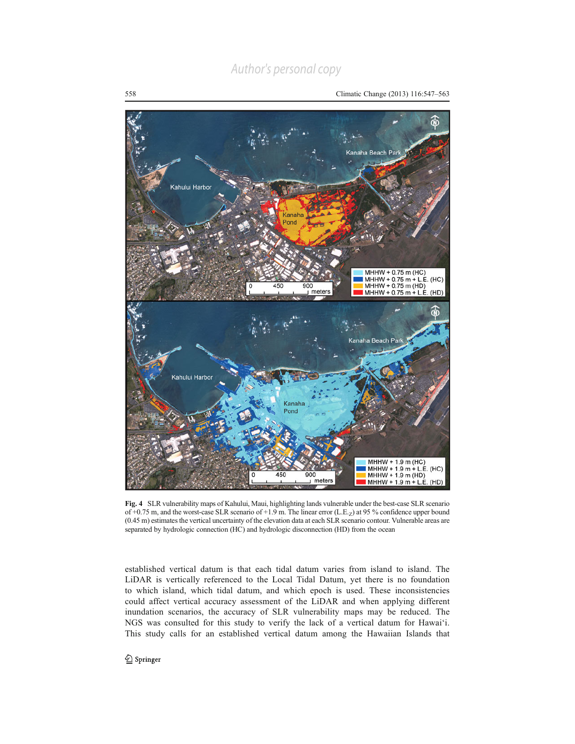



Fig. 4 SLR vulnerability maps of Kahului, Maui, highlighting lands vulnerable under the best-case SLR scenario of +0.75 m, and the worst-case SLR scenario of +1.9 m. The linear error (L.E.Z) at 95 % confidence upper bound (0.45 m) estimates the vertical uncertainty of the elevation data at each SLR scenario contour. Vulnerable areas are separated by hydrologic connection (HC) and hydrologic disconnection (HD) from the ocean

established vertical datum is that each tidal datum varies from island to island. The LiDAR is vertically referenced to the Local Tidal Datum, yet there is no foundation to which island, which tidal datum, and which epoch is used. These inconsistencies could affect vertical accuracy assessment of the LiDAR and when applying different inundation scenarios, the accuracy of SLR vulnerability maps may be reduced. The NGS was consulted for this study to verify the lack of a vertical datum for Hawai'i. This study calls for an established vertical datum among the Hawaiian Islands that

**◯** Springer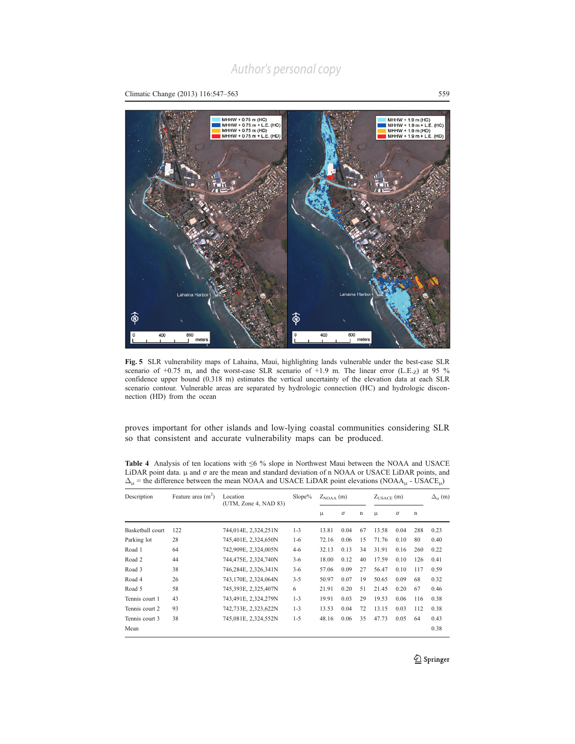# *Author's personal copy*

Climatic Change (2013) 116:547–563 559



Fig. 5 SLR vulnerability maps of Lahaina, Maui, highlighting lands vulnerable under the best-case SLR scenario of  $+0.75$  m, and the worst-case SLR scenario of  $+1.9$  m. The linear error (L.E.<sub>Z</sub>) at 95 % confidence upper bound (0.318 m) estimates the vertical uncertainty of the elevation data at each SLR scenario contour. Vulnerable areas are separated by hydrologic connection (HC) and hydrologic disconnection (HD) from the ocean

proves important for other islands and low-lying coastal communities considering SLR so that consistent and accurate vulnerability maps can be produced.

Table 4 Analysis of ten locations with ≤6 % slope in Northwest Maui between the NOAA and USACE LiDAR point data. μ and σ are the mean and standard deviation of n NOAA or USACE LiDAR points, and  $\Delta_{\mu}$  = the difference between the mean NOAA and USACE LiDAR point elevations (NOAA<sub>μ</sub> - USACE<sub>μ</sub>)

| Description      | Feature area $(m2)$ | Location<br>(UTM, Zone 4, NAD 83) | Slope%  | $Z_{NOAA}$ (m) |          |             | $Z_{\text{USAGE}}$ (m) |          |             | $\Delta_{\rm u}$ (m) |
|------------------|---------------------|-----------------------------------|---------|----------------|----------|-------------|------------------------|----------|-------------|----------------------|
|                  |                     |                                   |         | μ              | $\sigma$ | $\mathbf n$ | μ                      | $\sigma$ | $\mathbf n$ |                      |
| Basketball court | 122                 | 744,014E, 2,324,251N              | $1 - 3$ | 13.81          | 0.04     | 67          | 13.58                  | 0.04     | 288         | 0.23                 |
| Parking lot      | 28                  | 745,401E, 2,324,650N              | $1-6$   | 72.16          | 0.06     | 15          | 71.76                  | 0.10     | 80          | 0.40                 |
| Road 1           | 64                  | 742,909E, 2,324,005N              | $4-6$   | 32.13          | 0.13     | 34          | 31.91                  | 0.16     | 260         | 0.22                 |
| Road 2           | 44                  | 744,475E, 2,324,740N              | $3 - 6$ | 18.00          | 0.12     | 40          | 17.59                  | 0.10     | 126         | 0.41                 |
| Road 3           | 38                  | 746,284E, 2,326,341N              | $3-6$   | 57.06          | 0.09     | 27          | 56.47                  | 0.10     | 117         | 0.59                 |
| Road 4           | 26                  | 743,170E, 2,324,064N              | $3 - 5$ | 50.97          | 0.07     | 19          | 50.65                  | 0.09     | 68          | 0.32                 |
| Road 5           | 58                  | 745,393E, 2,325,407N              | 6       | 21.91          | 0.20     | 51          | 21.45                  | 0.20     | 67          | 0.46                 |
| Tennis court 1   | 43                  | 743,491E, 2,324,279N              | $1 - 3$ | 19.91          | 0.03     | 29          | 19.53                  | 0.06     | 116         | 0.38                 |
| Tennis court 2   | 93                  | 742,733E, 2,323,622N              | $1 - 3$ | 13.53          | 0.04     | 72          | 13.15                  | 0.03     | 112         | 0.38                 |
| Tennis court 3   | 38                  | 745,081E, 2,324,552N              | $1 - 5$ | 48.16          | 0.06     | 35          | 47.73                  | 0.05     | 64          | 0.43                 |
| Mean             |                     |                                   |         |                |          |             |                        |          |             | 0.38                 |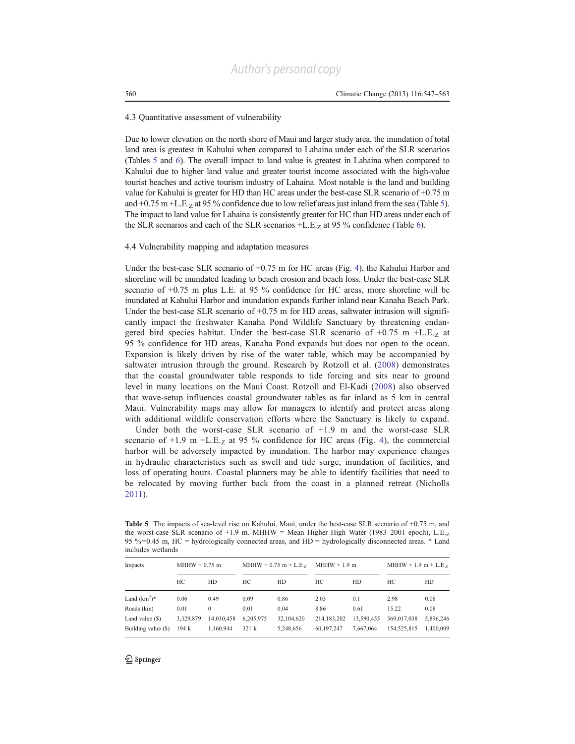#### 4.3 Quantitative assessment of vulnerability

Due to lower elevation on the north shore of Maui and larger study area, the inundation of total land area is greatest in Kahului when compared to Lahaina under each of the SLR scenarios (Tables 5 and 6). The overall impact to land value is greatest in Lahaina when compared to Kahului due to higher land value and greater tourist income associated with the high-value tourist beaches and active tourism industry of Lahaina. Most notable is the land and building value for Kahului is greater for HD than HC areas under the best-case SLR scenario of +0.75 m and  $+0.75$  m  $+$ L.E.<sub>Z</sub> at 95 % confidence due to low relief areas just inland from the sea (Table 5). The impact to land value for Lahaina is consistently greater for HC than HD areas under each of the SLR scenarios and each of the SLR scenarios  $+$ L.E.<sub>Z</sub> at 95 % confidence (Table 6).

4.4 Vulnerability mapping and adaptation measures

Under the best-case SLR scenario of +0.75 m for HC areas (Fig. 4), the Kahului Harbor and shoreline will be inundated leading to beach erosion and beach loss. Under the best-case SLR scenario of +0.75 m plus L.E. at 95 % confidence for HC areas, more shoreline will be inundated at Kahului Harbor and inundation expands further inland near Kanaha Beach Park. Under the best-case SLR scenario of  $+0.75$  m for HD areas, saltwater intrusion will significantly impact the freshwater Kanaha Pond Wildlife Sanctuary by threatening endangered bird species habitat. Under the best-case SLR scenario of  $+0.75$  m  $+$ L.E.<sub>Z</sub> at 95 % confidence for HD areas, Kanaha Pond expands but does not open to the ocean. Expansion is likely driven by rise of the water table, which may be accompanied by saltwater intrusion through the ground. Research by Rotzoll et al. (2008) demonstrates that the coastal groundwater table responds to tide forcing and sits near to ground level in many locations on the Maui Coast. Rotzoll and El-Kadi (2008) also observed that wave-setup influences coastal groundwater tables as far inland as 5 km in central Maui. Vulnerability maps may allow for managers to identify and protect areas along with additional wildlife conservation efforts where the Sanctuary is likely to expand.

Under both the worst-case SLR scenario of +1.9 m and the worst-case SLR scenario of  $+1.9$  m  $+L.E.$  at 95 % confidence for HC areas (Fig. 4), the commercial harbor will be adversely impacted by inundation. The harbor may experience changes in hydraulic characteristics such as swell and tide surge, inundation of facilities, and loss of operating hours. Coastal planners may be able to identify facilities that need to be relocated by moving further back from the coast in a planned retreat (Nicholls 2011).

Table 5 The impacts of sea-level rise on Kahului, Maui, under the best-case SLR scenario of +0.75 m, and the worst-case SLR scenario of  $+1.9$  m. MHHW = Mean Higher High Water (1983–2001 epoch), L.E.<sub>Z</sub> 95 %=0.45 m, HC = hydrologically connected areas, and HD = hydrologically disconnected areas.  $*$  Land includes wetlands

| Impacts             | $MHHW + 0.75$ m |            | MHHW + $0.75$ m + L.E $\overline{z}$ |            | $MHHW + 1.9 m$ |            | MHHW + $1.9$ m + $L.Ez$ |           |  |
|---------------------|-----------------|------------|--------------------------------------|------------|----------------|------------|-------------------------|-----------|--|
|                     | HС              | HD         | HС                                   | HD         | HС             | <b>HD</b>  | HС                      | HD        |  |
| Land $(km^2)^*$     | 0.06            | 0.49       | 0.09                                 | 0.86       | 2.03           | 0.1        | 2.98                    | 0.08      |  |
| Roads (km)          | 0.01            | $\Omega$   | 0.01                                 | 0.04       | 8.86           | 0.61       | 15.22                   | 0.08      |  |
| Land value $(S)$    | 3.329.879       | 14,030,458 | 6.205.975                            | 32,104,620 | 214, 183, 202  | 13.590.455 | 369,017,038             | 5.896.246 |  |
| Building value (\$) | 194 k           | 1.160.944  | 321k                                 | 5.248.656  | 60.197.247     | 7.667.064  | 154,525,815             | 1,400,009 |  |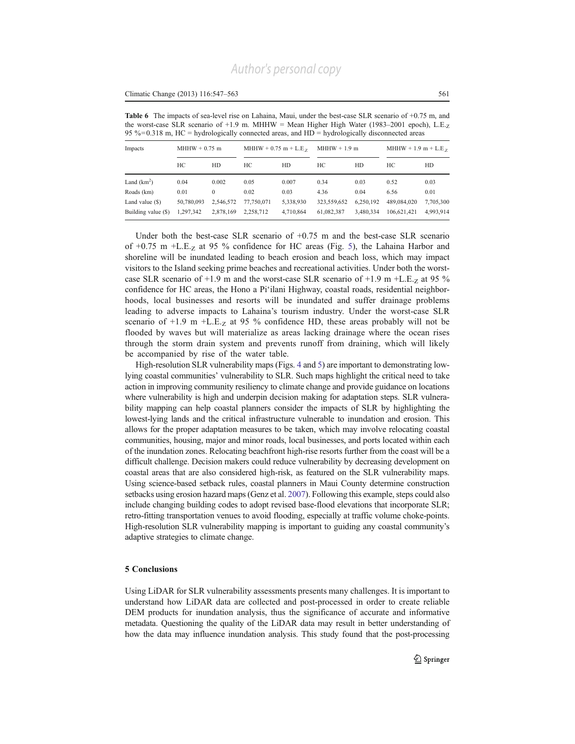Climatic Change (2013) 116:547–563 561

| <b>Table 6</b> The impacts of sea-level rise on Lahaina, Maui, under the best-case SLR scenario of +0.75 m, and |  |
|-----------------------------------------------------------------------------------------------------------------|--|
| the worst-case SLR scenario of +1.9 m. MHHW = Mean Higher High Water (1983–2001 epoch), L.E. <sub>Z</sub>       |  |
| 95 %=0.318 m, HC = hydrologically connected areas, and HD = hydrologically disconnected areas                   |  |

| Impacts             | $MHHW + 0.75$ m |              | MHHW + $0.75$ m + L.E <sub>z</sub> |           | $MHHW + 1.9 m$ |           | MHHW $+1.9$ m $+$ L.E <sub>z</sub> |           |  |
|---------------------|-----------------|--------------|------------------------------------|-----------|----------------|-----------|------------------------------------|-----------|--|
|                     | HС              | HD           | HС                                 | HD        | HС             | HD        | HС                                 | HD        |  |
| Land $(km^2)$       | 0.04            | 0.002        | 0.05                               | 0.007     | 0.34           | 0.03      | 0.52                               | 0.03      |  |
| Roads (km)          | 0.01            | $\mathbf{0}$ | 0.02                               | 0.03      | 4.36           | 0.04      | 6.56                               | 0.01      |  |
| Land value $(S)$    | 50,780,093      | 2.546.572    | 77,750,071                         | 5,338,930 | 323,559,652    | 6.250.192 | 489,084,020                        | 7,705,300 |  |
| Building value (\$) | 1.297.342       | 2,878,169    | 2.258.712                          | 4.710.864 | 61.082.387     | 3.480.334 | 106.621.421                        | 4,993,914 |  |

Under both the best-case SLR scenario of  $+0.75$  m and the best-case SLR scenario of  $+0.75$  m  $+L.E.$  at 95 % confidence for HC areas (Fig. 5), the Lahaina Harbor and shoreline will be inundated leading to beach erosion and beach loss, which may impact visitors to the Island seeking prime beaches and recreational activities. Under both the worstcase SLR scenario of  $+1.9$  m and the worst-case SLR scenario of  $+1.9$  m  $+$ L.E.<sub>Z</sub> at 95 % confidence for HC areas, the Hono a Pi'ilani Highway, coastal roads, residential neighborhoods, local businesses and resorts will be inundated and suffer drainage problems leading to adverse impacts to Lahaina's tourism industry. Under the worst-case SLR scenario of  $+1.9$  m  $+L.E.$  at 95 % confidence HD, these areas probably will not be flooded by waves but will materialize as areas lacking drainage where the ocean rises through the storm drain system and prevents runoff from draining, which will likely be accompanied by rise of the water table.

High-resolution SLR vulnerability maps (Figs. 4 and 5) are important to demonstrating lowlying coastal communities' vulnerability to SLR. Such maps highlight the critical need to take action in improving community resiliency to climate change and provide guidance on locations where vulnerability is high and underpin decision making for adaptation steps. SLR vulnerability mapping can help coastal planners consider the impacts of SLR by highlighting the lowest-lying lands and the critical infrastructure vulnerable to inundation and erosion. This allows for the proper adaptation measures to be taken, which may involve relocating coastal communities, housing, major and minor roads, local businesses, and ports located within each of the inundation zones. Relocating beachfront high-rise resorts further from the coast will be a difficult challenge. Decision makers could reduce vulnerability by decreasing development on coastal areas that are also considered high-risk, as featured on the SLR vulnerability maps. Using science-based setback rules, coastal planners in Maui County determine construction setbacks using erosion hazard maps (Genz et al. 2007). Following this example, steps could also include changing building codes to adopt revised base-flood elevations that incorporate SLR; retro-fitting transportation venues to avoid flooding, especially at traffic volume choke-points. High-resolution SLR vulnerability mapping is important to guiding any coastal community's adaptive strategies to climate change.

#### 5 Conclusions

Using LiDAR for SLR vulnerability assessments presents many challenges. It is important to understand how LiDAR data are collected and post-processed in order to create reliable DEM products for inundation analysis, thus the significance of accurate and informative metadata. Questioning the quality of the LiDAR data may result in better understanding of how the data may influence inundation analysis. This study found that the post-processing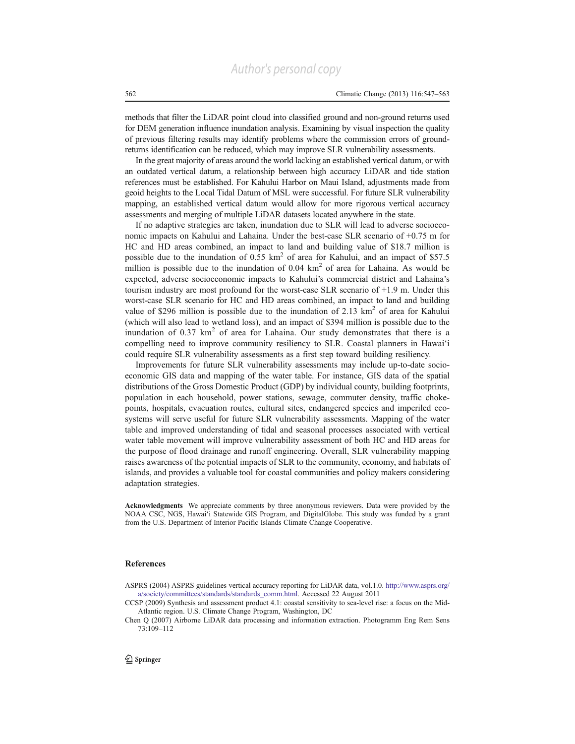methods that filter the LiDAR point cloud into classified ground and non-ground returns used for DEM generation influence inundation analysis. Examining by visual inspection the quality of previous filtering results may identify problems where the commission errors of groundreturns identification can be reduced, which may improve SLR vulnerability assessments.

In the great majority of areas around the world lacking an established vertical datum, or with an outdated vertical datum, a relationship between high accuracy LiDAR and tide station references must be established. For Kahului Harbor on Maui Island, adjustments made from geoid heights to the Local Tidal Datum of MSL were successful. For future SLR vulnerability mapping, an established vertical datum would allow for more rigorous vertical accuracy assessments and merging of multiple LiDAR datasets located anywhere in the state.

If no adaptive strategies are taken, inundation due to SLR will lead to adverse socioeconomic impacts on Kahului and Lahaina. Under the best-case SLR scenario of +0.75 m for HC and HD areas combined, an impact to land and building value of \$18.7 million is possible due to the inundation of  $0.55 \text{ km}^2$  of area for Kahului, and an impact of \$57.5 million is possible due to the inundation of  $0.04 \text{ km}^2$  of area for Lahaina. As would be expected, adverse socioeconomic impacts to Kahului's commercial district and Lahaina's tourism industry are most profound for the worst-case SLR scenario of +1.9 m. Under this worst-case SLR scenario for HC and HD areas combined, an impact to land and building value of \$296 million is possible due to the inundation of 2.13  $km<sup>2</sup>$  of area for Kahului (which will also lead to wetland loss), and an impact of \$394 million is possible due to the inundation of  $0.37 \text{ km}^2$  of area for Lahaina. Our study demonstrates that there is a compelling need to improve community resiliency to SLR. Coastal planners in Hawai'i could require SLR vulnerability assessments as a first step toward building resiliency.

Improvements for future SLR vulnerability assessments may include up-to-date socioeconomic GIS data and mapping of the water table. For instance, GIS data of the spatial distributions of the Gross Domestic Product (GDP) by individual county, building footprints, population in each household, power stations, sewage, commuter density, traffic chokepoints, hospitals, evacuation routes, cultural sites, endangered species and imperiled ecosystems will serve useful for future SLR vulnerability assessments. Mapping of the water table and improved understanding of tidal and seasonal processes associated with vertical water table movement will improve vulnerability assessment of both HC and HD areas for the purpose of flood drainage and runoff engineering. Overall, SLR vulnerability mapping raises awareness of the potential impacts of SLR to the community, economy, and habitats of islands, and provides a valuable tool for coastal communities and policy makers considering adaptation strategies.

Acknowledgments We appreciate comments by three anonymous reviewers. Data were provided by the NOAA CSC, NGS, Hawai'i Statewide GIS Program, and DigitalGlobe. This study was funded by a grant from the U.S. Department of Interior Pacific Islands Climate Change Cooperative.

#### References

- ASPRS (2004) ASPRS guidelines vertical accuracy reporting for LiDAR data, vol.1.0. http://www.asprs.org/ a/society/committees/standards/standards\_comm.html. Accessed 22 August 2011
- CCSP (2009) Synthesis and assessment product 4.1: coastal sensitivity to sea-level rise: a focus on the Mid-Atlantic region. U.S. Climate Change Program, Washington, DC

Chen Q (2007) Airborne LiDAR data processing and information extraction. Photogramm Eng Rem Sens 73:109–112